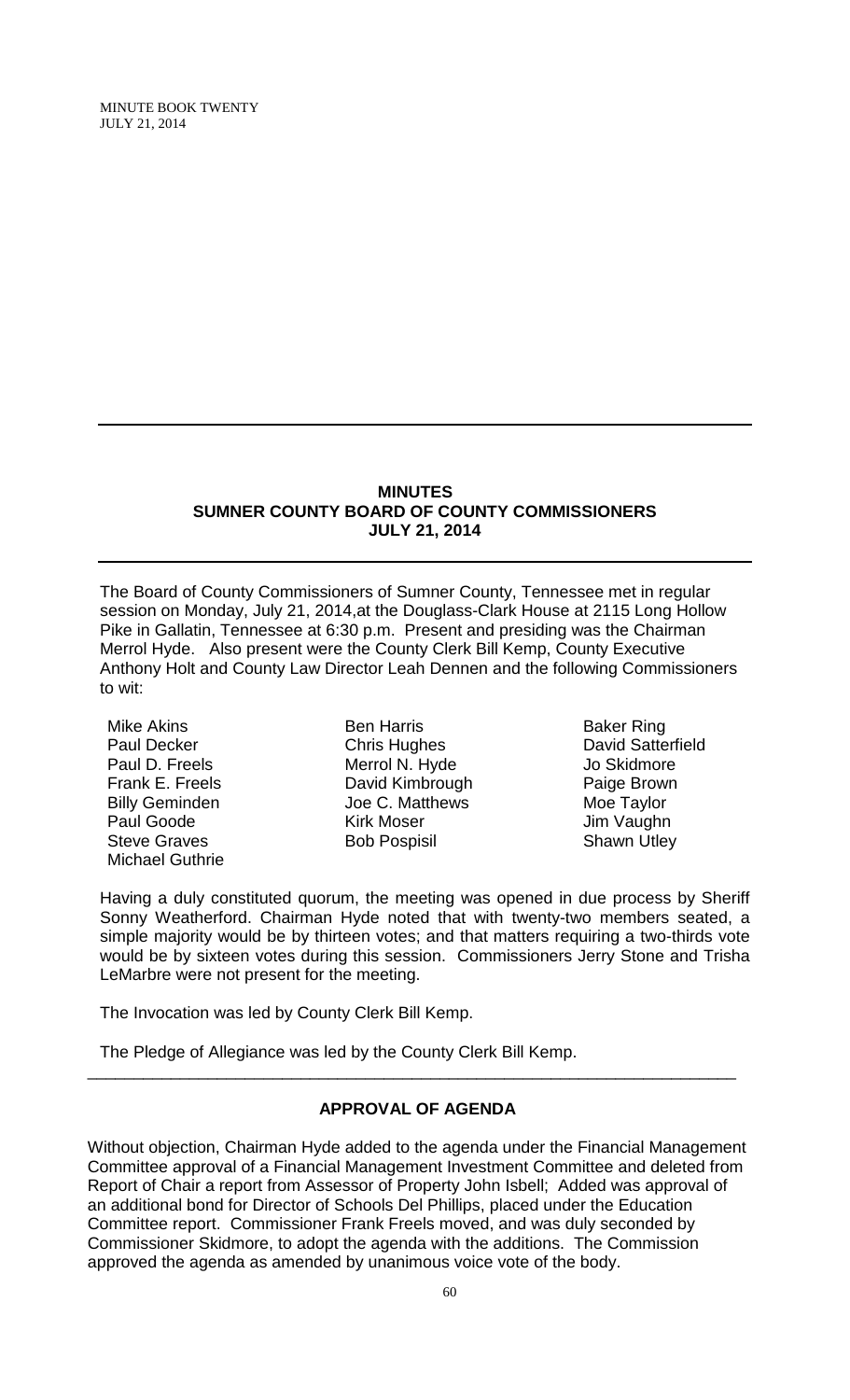MINUTE BOOK TWENTY JULY 21, 2014

#### **MINUTES SUMNER COUNTY BOARD OF COUNTY COMMISSIONERS JULY 21, 2014**

The Board of County Commissioners of Sumner County, Tennessee met in regular session on Monday, July 21, 2014,at the Douglass-Clark House at 2115 Long Hollow Pike in Gallatin, Tennessee at 6:30 p.m. Present and presiding was the Chairman Merrol Hyde. Also present were the County Clerk Bill Kemp, County Executive Anthony Holt and County Law Director Leah Dennen and the following Commissioners to wit:

Mike Akins Paul Decker Paul D. Freels Frank E. Freels Billy Geminden Paul Goode Steve Graves Michael Guthrie

Ben Harris Chris Hughes Merrol N. Hyde David Kimbrough Joe C. Matthews Kirk Moser Bob Pospisil

Baker Ring David Satterfield Jo Skidmore Paige Brown Moe Taylor Jim Vaughn Shawn Utley

Having a duly constituted quorum, the meeting was opened in due process by Sheriff Sonny Weatherford. Chairman Hyde noted that with twenty-two members seated, a simple majority would be by thirteen votes; and that matters requiring a two-thirds vote would be by sixteen votes during this session. Commissioners Jerry Stone and Trisha LeMarbre were not present for the meeting.

The Invocation was led by County Clerk Bill Kemp.

The Pledge of Allegiance was led by the County Clerk Bill Kemp.

# **APPROVAL OF AGENDA**

\_\_\_\_\_\_\_\_\_\_\_\_\_\_\_\_\_\_\_\_\_\_\_\_\_\_\_\_\_\_\_\_\_\_\_\_\_\_\_\_\_\_\_\_\_\_\_\_\_\_\_\_\_\_\_\_\_\_\_\_\_\_\_\_\_\_\_\_\_\_

Without objection, Chairman Hyde added to the agenda under the Financial Management Committee approval of a Financial Management Investment Committee and deleted from Report of Chair a report from Assessor of Property John Isbell; Added was approval of an additional bond for Director of Schools Del Phillips, placed under the Education Committee report. Commissioner Frank Freels moved, and was duly seconded by Commissioner Skidmore, to adopt the agenda with the additions. The Commission approved the agenda as amended by unanimous voice vote of the body.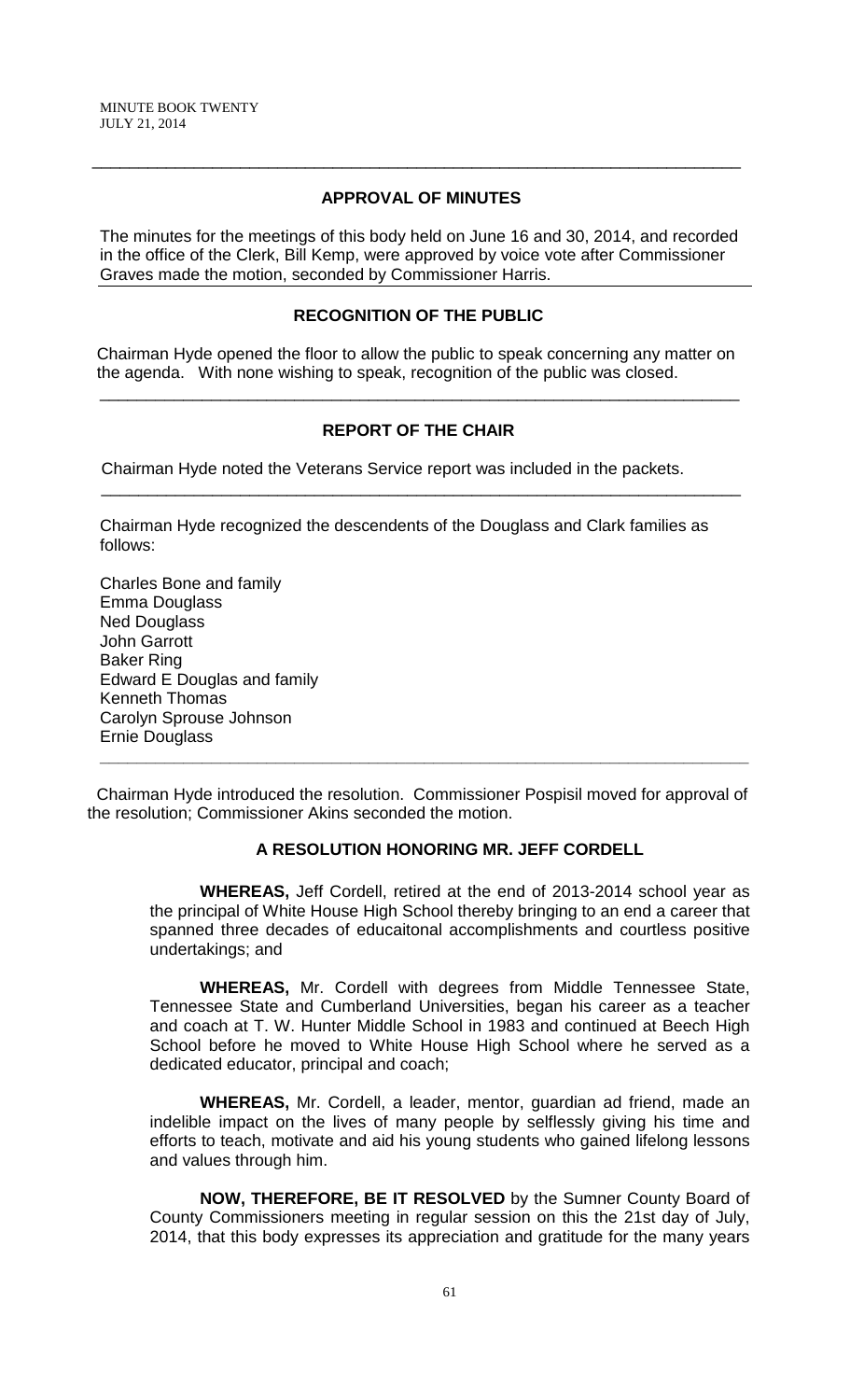# **APPROVAL OF MINUTES**

\_\_\_\_\_\_\_\_\_\_\_\_\_\_\_\_\_\_\_\_\_\_\_\_\_\_\_\_\_\_\_\_\_\_\_\_\_\_\_\_\_\_\_\_\_\_\_\_\_\_\_\_\_\_\_\_\_\_\_\_\_\_\_\_\_\_\_\_\_\_

The minutes for the meetings of this body held on June 16 and 30, 2014, and recorded in the office of the Clerk, Bill Kemp, were approved by voice vote after Commissioner Graves made the motion, seconded by Commissioner Harris.

### **RECOGNITION OF THE PUBLIC**

 Chairman Hyde opened the floor to allow the public to speak concerning any matter on the agenda. With none wishing to speak, recognition of the public was closed.

\_\_\_\_\_\_\_\_\_\_\_\_\_\_\_\_\_\_\_\_\_\_\_\_\_\_\_\_\_\_\_\_\_\_\_\_\_\_\_\_\_\_\_\_\_\_\_\_\_\_\_\_\_\_\_\_\_\_\_\_\_\_\_\_\_\_\_\_\_

### **REPORT OF THE CHAIR**

\_\_\_\_\_\_\_\_\_\_\_\_\_\_\_\_\_\_\_\_\_\_\_\_\_\_\_\_\_\_\_\_\_\_\_\_\_\_\_\_\_\_\_\_\_\_\_\_\_\_\_\_\_\_\_\_\_\_\_\_\_\_\_\_\_\_\_\_\_

Chairman Hyde noted the Veterans Service report was included in the packets.

Chairman Hyde recognized the descendents of the Douglass and Clark families as follows:

Charles Bone and family Emma Douglass Ned Douglass John Garrott Baker Ring Edward E Douglas and family Kenneth Thomas Carolyn Sprouse Johnson Ernie Douglass

Chairman Hyde introduced the resolution. Commissioner Pospisil moved for approval of the resolution; Commissioner Akins seconded the motion.

**\_\_\_\_\_\_\_\_\_\_\_\_\_\_\_\_\_\_\_\_\_\_\_\_\_\_\_\_\_\_\_\_\_\_\_\_\_\_\_\_\_\_\_\_\_\_\_\_\_\_\_\_\_\_\_\_\_\_\_\_\_\_\_\_\_\_\_\_\_\_**

# **A RESOLUTION HONORING MR. JEFF CORDELL**

**WHEREAS,** Jeff Cordell, retired at the end of 2013-2014 school year as the principal of White House High School thereby bringing to an end a career that spanned three decades of educaitonal accomplishments and courtless positive undertakings; and

**WHEREAS,** Mr. Cordell with degrees from Middle Tennessee State, Tennessee State and Cumberland Universities, began his career as a teacher and coach at T. W. Hunter Middle School in 1983 and continued at Beech High School before he moved to White House High School where he served as a dedicated educator, principal and coach;

 **WHEREAS,** Mr. Cordell, a leader, mentor, guardian ad friend, made an indelible impact on the lives of many people by selflessly giving his time and efforts to teach, motivate and aid his young students who gained lifelong lessons and values through him.

**NOW, THEREFORE, BE IT RESOLVED** by the Sumner County Board of County Commissioners meeting in regular session on this the 21st day of July, 2014, that this body expresses its appreciation and gratitude for the many years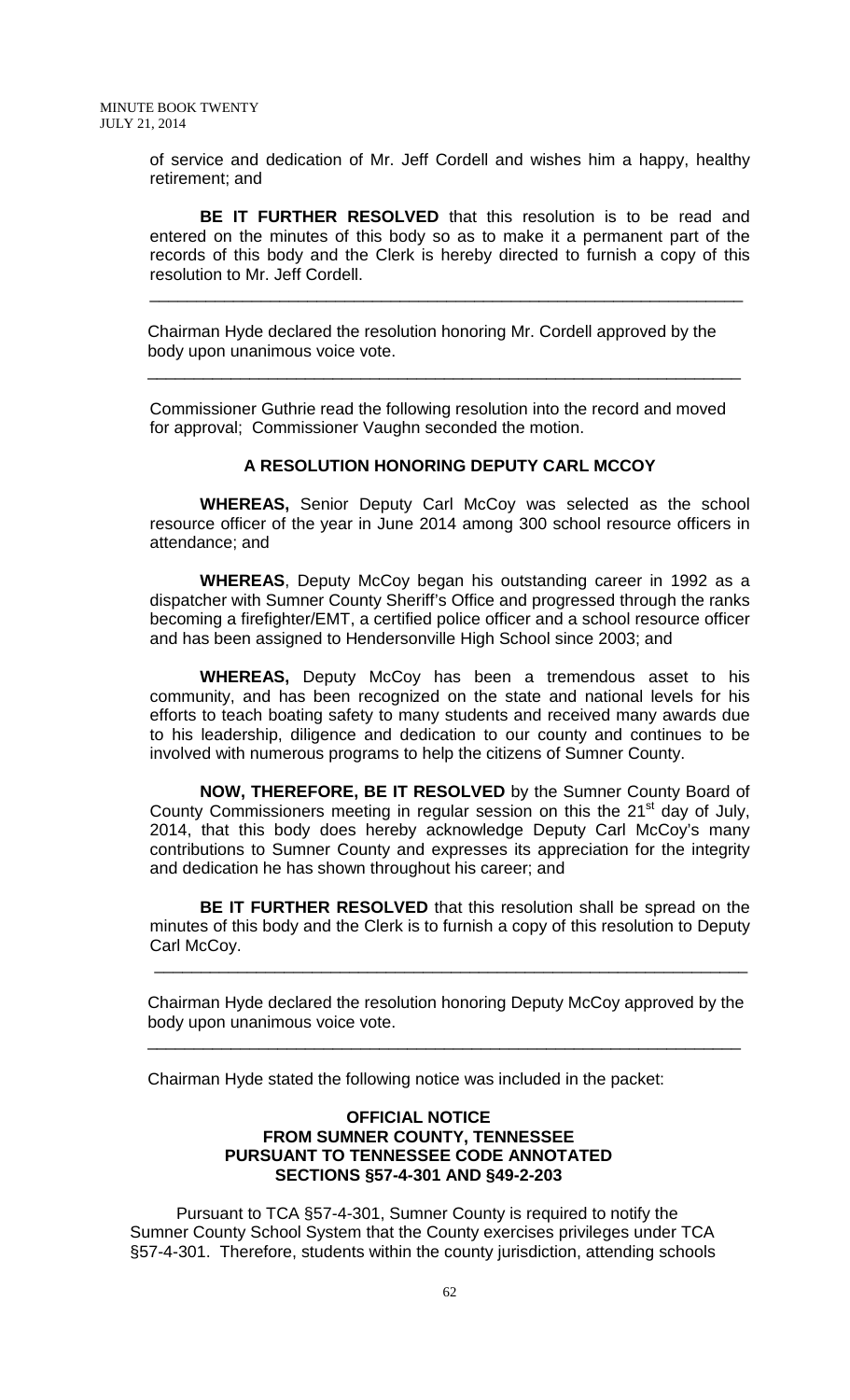of service and dedication of Mr. Jeff Cordell and wishes him a happy, healthy retirement; and

**BE IT FURTHER RESOLVED** that this resolution is to be read and entered on the minutes of this body so as to make it a permanent part of the records of this body and the Clerk is hereby directed to furnish a copy of this resolution to Mr. Jeff Cordell.

\_\_\_\_\_\_\_\_\_\_\_\_\_\_\_\_\_\_\_\_\_\_\_\_\_\_\_\_\_\_\_\_\_\_\_\_\_\_\_\_\_\_\_\_\_\_\_\_\_\_\_\_\_\_\_\_\_\_\_\_\_\_\_\_

Chairman Hyde declared the resolution honoring Mr. Cordell approved by the body upon unanimous voice vote.

\_\_\_\_\_\_\_\_\_\_\_\_\_\_\_\_\_\_\_\_\_\_\_\_\_\_\_\_\_\_\_\_\_\_\_\_\_\_\_\_\_\_\_\_\_\_\_\_\_\_\_\_\_\_\_\_\_\_\_\_\_\_\_\_

Commissioner Guthrie read the following resolution into the record and moved for approval; Commissioner Vaughn seconded the motion.

#### **A RESOLUTION HONORING DEPUTY CARL MCCOY**

**WHEREAS,** Senior Deputy Carl McCoy was selected as the school resource officer of the year in June 2014 among 300 school resource officers in attendance; and

**WHEREAS**, Deputy McCoy began his outstanding career in 1992 as a dispatcher with Sumner County Sheriff's Office and progressed through the ranks becoming a firefighter/EMT, a certified police officer and a school resource officer and has been assigned to Hendersonville High School since 2003; and

**WHEREAS,** Deputy McCoy has been a tremendous asset to his community, and has been recognized on the state and national levels for his efforts to teach boating safety to many students and received many awards due to his leadership, diligence and dedication to our county and continues to be involved with numerous programs to help the citizens of Sumner County.

**NOW, THEREFORE, BE IT RESOLVED** by the Sumner County Board of County Commissioners meeting in regular session on this the 21<sup>st</sup> day of July, 2014, that this body does hereby acknowledge Deputy Carl McCoy's many contributions to Sumner County and expresses its appreciation for the integrity and dedication he has shown throughout his career; and

**BE IT FURTHER RESOLVED** that this resolution shall be spread on the minutes of this body and the Clerk is to furnish a copy of this resolution to Deputy Carl McCoy.

Chairman Hyde declared the resolution honoring Deputy McCoy approved by the body upon unanimous voice vote.

Chairman Hyde stated the following notice was included in the packet:

\_\_\_\_\_\_\_\_\_\_\_\_\_\_\_\_\_\_\_\_\_\_\_\_\_\_\_\_\_\_\_\_\_\_\_\_\_\_\_\_\_\_\_\_\_\_\_\_\_\_\_\_\_\_\_\_\_\_\_\_\_\_\_\_

\_\_\_\_\_\_\_\_\_\_\_\_\_\_\_\_\_\_\_\_\_\_\_\_\_\_\_\_\_\_\_\_\_\_\_\_\_\_\_\_\_\_\_\_\_\_\_\_\_\_\_\_\_\_\_\_\_\_\_\_\_\_\_\_

### **OFFICIAL NOTICE FROM SUMNER COUNTY, TENNESSEE PURSUANT TO TENNESSEE CODE ANNOTATED SECTIONS §57-4-301 AND §49-2-203**

Pursuant to TCA §57-4-301, Sumner County is required to notify the Sumner County School System that the County exercises privileges under TCA §57-4-301. Therefore, students within the county jurisdiction, attending schools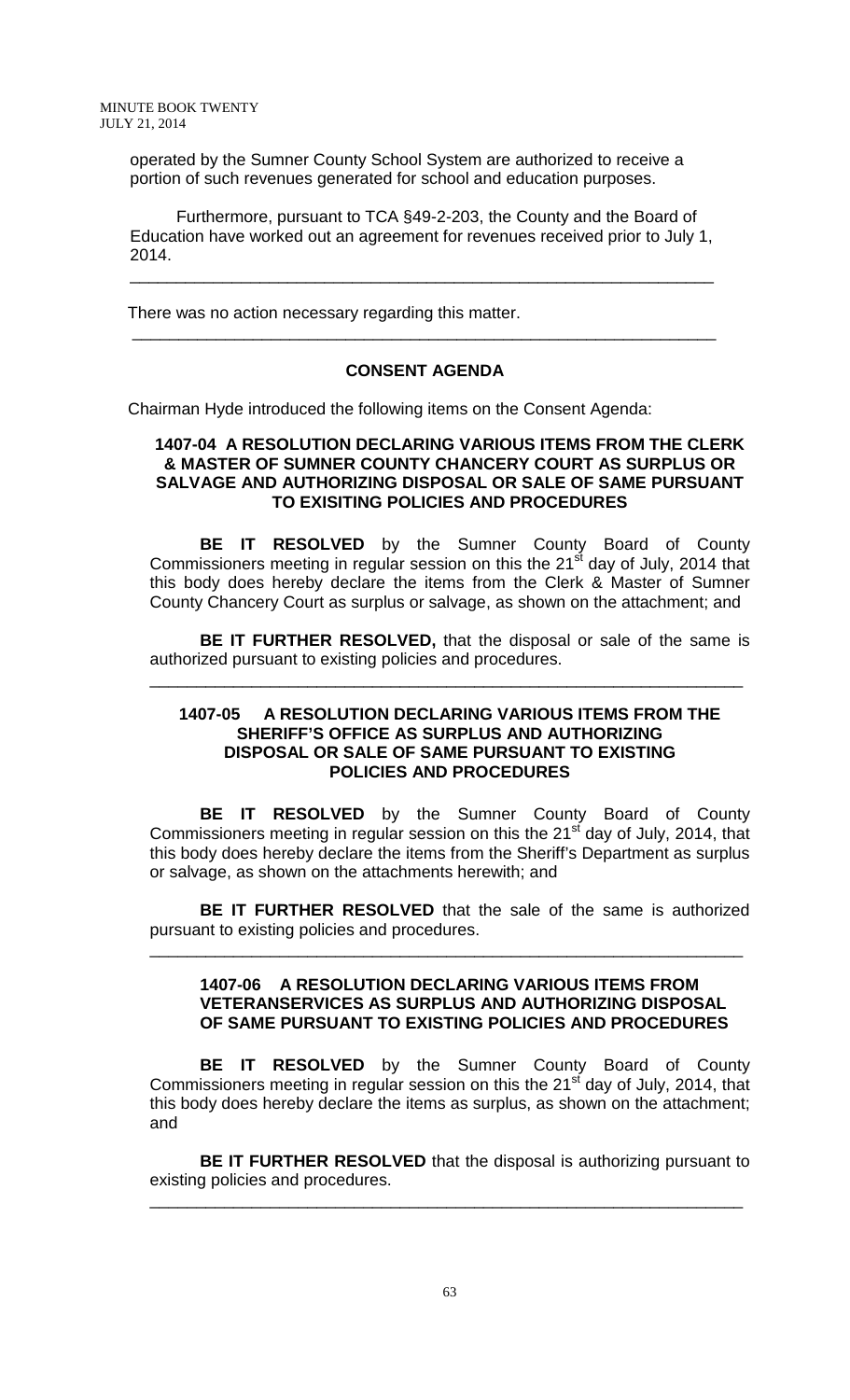operated by the Sumner County School System are authorized to receive a portion of such revenues generated for school and education purposes.

 Furthermore, pursuant to TCA §49-2-203, the County and the Board of Education have worked out an agreement for revenues received prior to July 1, 2014.

\_\_\_\_\_\_\_\_\_\_\_\_\_\_\_\_\_\_\_\_\_\_\_\_\_\_\_\_\_\_\_\_\_\_\_\_\_\_\_\_\_\_\_\_\_\_\_\_\_\_\_\_\_\_\_\_\_\_\_\_\_\_\_

There was no action necessary regarding this matter.

### **CONSENT AGENDA**

\_\_\_\_\_\_\_\_\_\_\_\_\_\_\_\_\_\_\_\_\_\_\_\_\_\_\_\_\_\_\_\_\_\_\_\_\_\_\_\_\_\_\_\_\_\_\_\_\_\_\_\_\_\_\_\_\_\_\_\_\_\_\_

Chairman Hyde introduced the following items on the Consent Agenda:

### **1407-04 A RESOLUTION DECLARING VARIOUS ITEMS FROM THE CLERK & MASTER OF SUMNER COUNTY CHANCERY COURT AS SURPLUS OR SALVAGE AND AUTHORIZING DISPOSAL OR SALE OF SAME PURSUANT TO EXISITING POLICIES AND PROCEDURES**

**BE IT RESOLVED** by the Sumner County Board of County Commissioners meeting in regular session on this the  $21<sup>st</sup>$  day of July, 2014 that this body does hereby declare the items from the Clerk & Master of Sumner County Chancery Court as surplus or salvage, as shown on the attachment; and

**BE IT FURTHER RESOLVED,** that the disposal or sale of the same is authorized pursuant to existing policies and procedures.

\_\_\_\_\_\_\_\_\_\_\_\_\_\_\_\_\_\_\_\_\_\_\_\_\_\_\_\_\_\_\_\_\_\_\_\_\_\_\_\_\_\_\_\_\_\_\_\_\_\_\_\_\_\_\_\_\_\_\_\_\_\_\_\_

### **1407-05 A RESOLUTION DECLARING VARIOUS ITEMS FROM THE SHERIFF'S OFFICE AS SURPLUS AND AUTHORIZING DISPOSAL OR SALE OF SAME PURSUANT TO EXISTING POLICIES AND PROCEDURES**

**BE IT RESOLVED** by the Sumner County Board of County Commissioners meeting in regular session on this the 21<sup>st</sup> day of July, 2014, that this body does hereby declare the items from the Sheriff's Department as surplus or salvage, as shown on the attachments herewith; and

**BE IT FURTHER RESOLVED** that the sale of the same is authorized pursuant to existing policies and procedures.

\_\_\_\_\_\_\_\_\_\_\_\_\_\_\_\_\_\_\_\_\_\_\_\_\_\_\_\_\_\_\_\_\_\_\_\_\_\_\_\_\_\_\_\_\_\_\_\_\_\_\_\_\_\_\_\_\_\_\_\_\_\_\_\_

#### **1407-06 A RESOLUTION DECLARING VARIOUS ITEMS FROM VETERANSERVICES AS SURPLUS AND AUTHORIZING DISPOSAL OF SAME PURSUANT TO EXISTING POLICIES AND PROCEDURES**

**BE IT RESOLVED** by the Sumner County Board of County Commissioners meeting in regular session on this the 21<sup>st</sup> day of July, 2014, that this body does hereby declare the items as surplus, as shown on the attachment; and

**BE IT FURTHER RESOLVED** that the disposal is authorizing pursuant to existing policies and procedures.

\_\_\_\_\_\_\_\_\_\_\_\_\_\_\_\_\_\_\_\_\_\_\_\_\_\_\_\_\_\_\_\_\_\_\_\_\_\_\_\_\_\_\_\_\_\_\_\_\_\_\_\_\_\_\_\_\_\_\_\_\_\_\_\_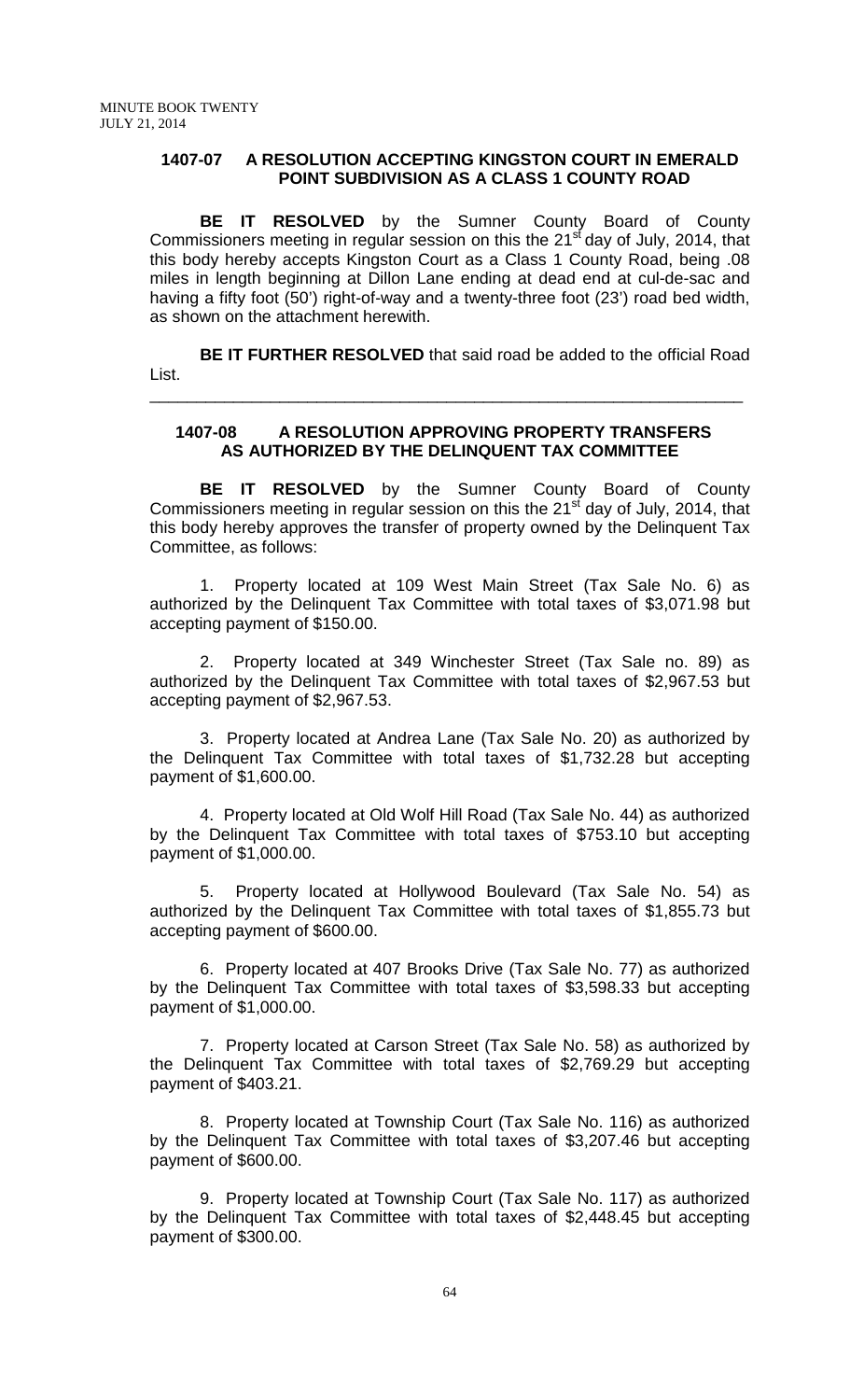### **1407-07 A RESOLUTION ACCEPTING KINGSTON COURT IN EMERALD POINT SUBDIVISION AS A CLASS 1 COUNTY ROAD**

**BE IT RESOLVED** by the Sumner County Board of County Commissioners meeting in regular session on this the  $21<sup>st</sup>$  day of July, 2014, that this body hereby accepts Kingston Court as a Class 1 County Road, being .08 miles in length beginning at Dillon Lane ending at dead end at cul-de-sac and having a fifty foot (50') right-of-way and a twenty-three foot (23') road bed width, as shown on the attachment herewith.

**BE IT FURTHER RESOLVED** that said road be added to the official Road List.

\_\_\_\_\_\_\_\_\_\_\_\_\_\_\_\_\_\_\_\_\_\_\_\_\_\_\_\_\_\_\_\_\_\_\_\_\_\_\_\_\_\_\_\_\_\_\_\_\_\_\_\_\_\_\_\_\_\_\_\_\_\_\_\_

### **1407-08 A RESOLUTION APPROVING PROPERTY TRANSFERS AS AUTHORIZED BY THE DELINQUENT TAX COMMITTEE**

**BE IT RESOLVED** by the Sumner County Board of County Commissioners meeting in regular session on this the  $21<sup>st</sup>$  day of July, 2014, that this body hereby approves the transfer of property owned by the Delinquent Tax Committee, as follows:

1. Property located at 109 West Main Street (Tax Sale No. 6) as authorized by the Delinquent Tax Committee with total taxes of \$3,071.98 but accepting payment of \$150.00.

2. Property located at 349 Winchester Street (Tax Sale no. 89) as authorized by the Delinquent Tax Committee with total taxes of \$2,967.53 but accepting payment of \$2,967.53.

3. Property located at Andrea Lane (Tax Sale No. 20) as authorized by the Delinquent Tax Committee with total taxes of \$1,732.28 but accepting payment of \$1,600.00.

4. Property located at Old Wolf Hill Road (Tax Sale No. 44) as authorized by the Delinquent Tax Committee with total taxes of \$753.10 but accepting payment of \$1,000.00.

5. Property located at Hollywood Boulevard (Tax Sale No. 54) as authorized by the Delinquent Tax Committee with total taxes of \$1,855.73 but accepting payment of \$600.00.

6. Property located at 407 Brooks Drive (Tax Sale No. 77) as authorized by the Delinquent Tax Committee with total taxes of \$3,598.33 but accepting payment of \$1,000.00.

7. Property located at Carson Street (Tax Sale No. 58) as authorized by the Delinquent Tax Committee with total taxes of \$2,769.29 but accepting payment of \$403.21.

8. Property located at Township Court (Tax Sale No. 116) as authorized by the Delinquent Tax Committee with total taxes of \$3,207.46 but accepting payment of \$600.00.

9. Property located at Township Court (Tax Sale No. 117) as authorized by the Delinquent Tax Committee with total taxes of \$2,448.45 but accepting payment of \$300.00.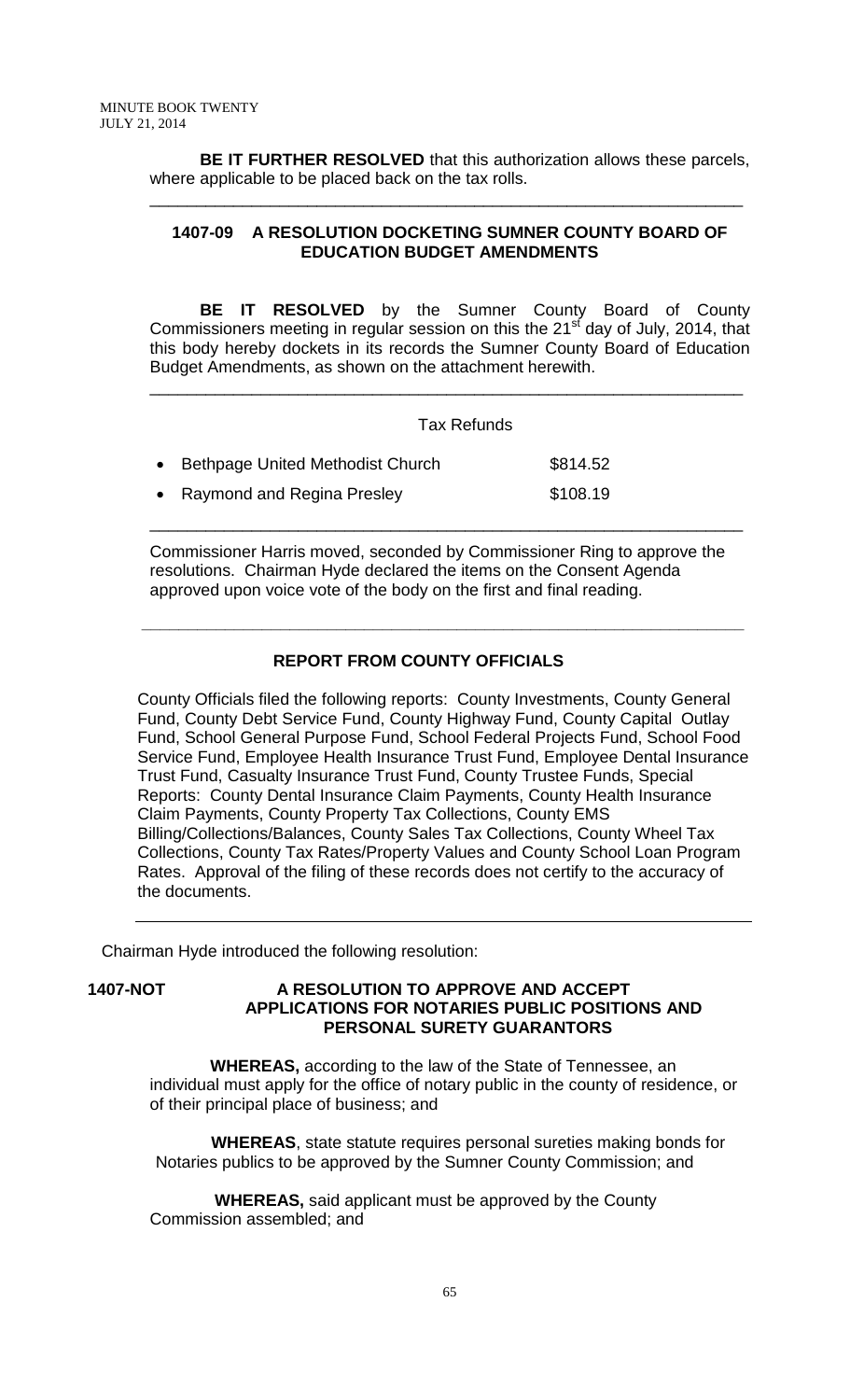**BE IT FURTHER RESOLVED** that this authorization allows these parcels, where applicable to be placed back on the tax rolls.

\_\_\_\_\_\_\_\_\_\_\_\_\_\_\_\_\_\_\_\_\_\_\_\_\_\_\_\_\_\_\_\_\_\_\_\_\_\_\_\_\_\_\_\_\_\_\_\_\_\_\_\_\_\_\_\_\_\_\_\_\_\_\_\_

## **1407-09 A RESOLUTION DOCKETING SUMNER COUNTY BOARD OF EDUCATION BUDGET AMENDMENTS**

**BE IT RESOLVED** by the Sumner County Board of County Commissioners meeting in regular session on this the  $21<sup>st</sup>$  day of July, 2014, that this body hereby dockets in its records the Sumner County Board of Education Budget Amendments, as shown on the attachment herewith.

\_\_\_\_\_\_\_\_\_\_\_\_\_\_\_\_\_\_\_\_\_\_\_\_\_\_\_\_\_\_\_\_\_\_\_\_\_\_\_\_\_\_\_\_\_\_\_\_\_\_\_\_\_\_\_\_\_\_\_\_\_\_\_\_

#### Tax Refunds

| • Bethpage United Methodist Church | \$814.52 |
|------------------------------------|----------|
| • Raymond and Regina Presley       | \$108.19 |

Commissioner Harris moved, seconded by Commissioner Ring to approve the resolutions. Chairman Hyde declared the items on the Consent Agenda approved upon voice vote of the body on the first and final reading.

\_\_\_\_\_\_\_\_\_\_\_\_\_\_\_\_\_\_\_\_\_\_\_\_\_\_\_\_\_\_\_\_\_\_\_\_\_\_\_\_\_\_\_\_\_\_\_\_\_\_\_\_\_\_\_\_\_\_\_\_\_\_\_\_

# **REPORT FROM COUNTY OFFICIALS**

 **\_\_\_\_\_\_\_\_\_\_\_\_\_\_\_\_\_\_\_\_\_\_\_\_\_\_\_\_\_\_\_\_\_\_\_\_\_\_\_\_\_\_\_\_\_\_\_\_\_\_\_\_\_\_\_\_\_\_\_\_\_\_\_\_\_**

County Officials filed the following reports: County Investments, County General Fund, County Debt Service Fund, County Highway Fund, County Capital Outlay Fund, School General Purpose Fund, School Federal Projects Fund, School Food Service Fund, Employee Health Insurance Trust Fund, Employee Dental Insurance Trust Fund, Casualty Insurance Trust Fund, County Trustee Funds, Special Reports: County Dental Insurance Claim Payments, County Health Insurance Claim Payments, County Property Tax Collections, County EMS Billing/Collections/Balances, County Sales Tax Collections, County Wheel Tax Collections, County Tax Rates/Property Values and County School Loan Program Rates. Approval of the filing of these records does not certify to the accuracy of the documents.

Chairman Hyde introduced the following resolution:

### **1407-NOT A RESOLUTION TO APPROVE AND ACCEPT APPLICATIONS FOR NOTARIES PUBLIC POSITIONS AND PERSONAL SURETY GUARANTORS**

 **WHEREAS,** according to the law of the State of Tennessee, an individual must apply for the office of notary public in the county of residence, or of their principal place of business; and

 **WHEREAS**, state statute requires personal sureties making bonds for Notaries publics to be approved by the Sumner County Commission; and

 **WHEREAS,** said applicant must be approved by the County Commission assembled; and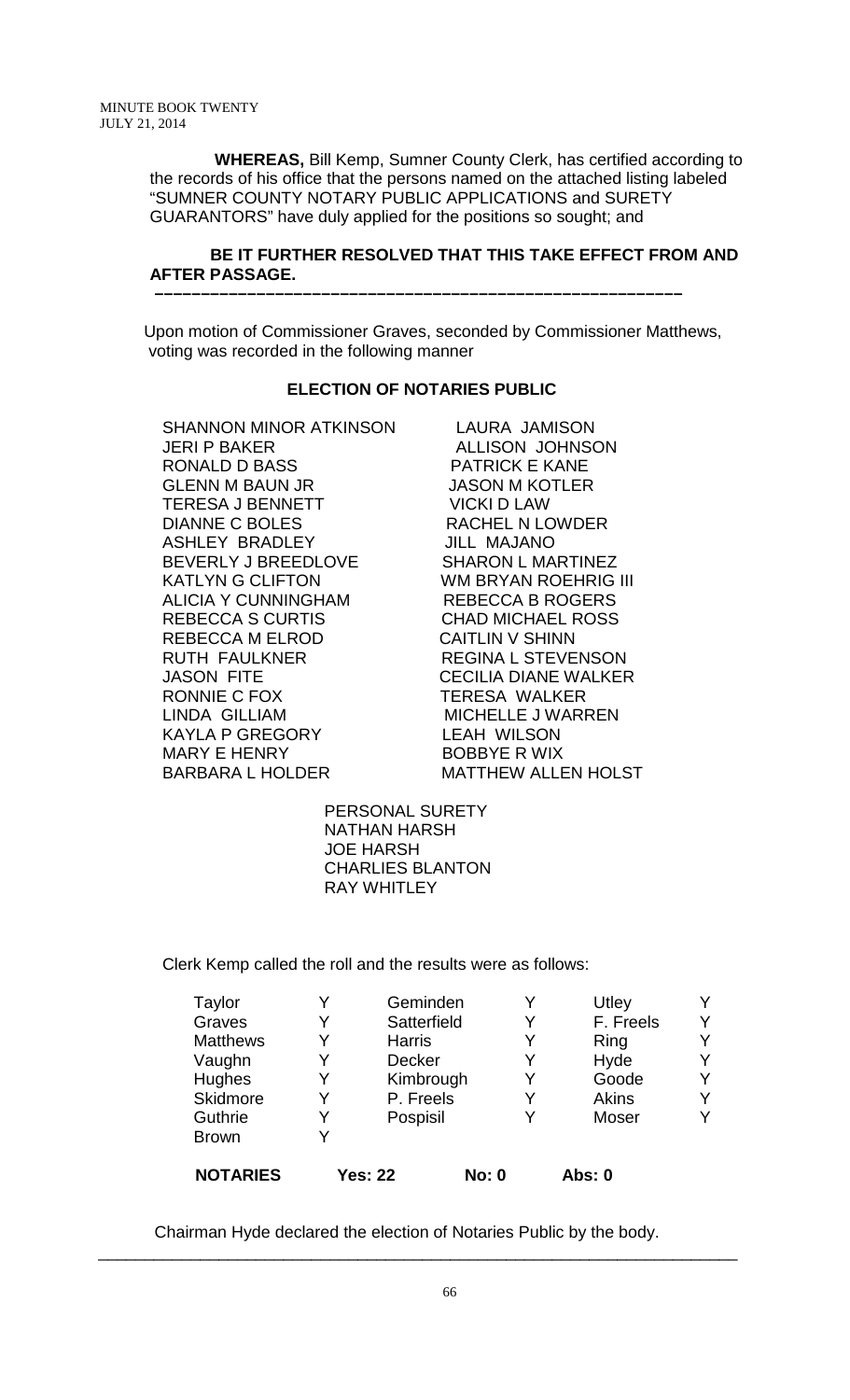**WHEREAS,** Bill Kemp, Sumner County Clerk, has certified according to the records of his office that the persons named on the attached listing labeled "SUMNER COUNTY NOTARY PUBLIC APPLICATIONS and SURETY GUARANTORS" have duly applied for the positions so sought; and

### **BE IT FURTHER RESOLVED THAT THIS TAKE EFFECT FROM AND AFTER PASSAGE.**

Upon motion of Commissioner Graves, seconded by Commissioner Matthews, voting was recorded in the following manner

### **ELECTION OF NOTARIES PUBLIC**

 **–––––––––––––––––––––––––––––––––––––––––––––––––––––––––**

SHANNON MINOR ATKINSON LAURA JAMISON JERI P BAKER ALLISON JOHNSON RONALD D BASS PATRICK E KANE GLENN M BAUN JR JASON M KOTLER TERESA J BENNETT VICKI D LAW DIANNE C BOLES RACHEL N LOWDER ASHLEY BRADLEY JILL MAJANO BEVERLY J BREEDLOVE SHARON L MARTINEZ KATLYN G CLIFTON WM BRYAN ROEHRIG III ALICIA Y CUNNINGHAM REBECCA B ROGERS REBECCA S CURTIS CHAD MICHAEL ROSS REBECCA M ELROD CAITLIN V SHINN RUTH FAULKNER REGINA L STEVENSON<br>JASON FITE SAND REGILIA DIANE WALKER JASON FITE CECILIA DIANE WALKER LINDA GILLIAM MICHELLE JWARREN<br>KAYLA P GREGORY LEAH WILSON KAYLA P GREGORY<br>MARY E HENRY BARBARA L HOLDER MATTHEW ALLEN HOLST

TERESA WALKER **BOBBYE R WIX** 

 PERSONAL SURETY NATHAN HARSH JOE HARSH CHARLIES BLANTON RAY WHITLEY

Clerk Kemp called the roll and the results were as follows:

| Hughes<br>Skidmore<br>Guthrie   | Y<br>Y | Kimbrough<br>P. Freels<br>Pospisil | Goode<br><b>Akins</b><br>Moser | Υ<br>Y<br>Y |
|---------------------------------|--------|------------------------------------|--------------------------------|-------------|
| <b>Brown</b><br><b>NOTARIES</b> |        | <b>Yes: 22</b><br><b>No: 0</b>     | Abs: 0                         |             |

Chairman Hyde declared the election of Notaries Public by the body.

\_\_\_\_\_\_\_\_\_\_\_\_\_\_\_\_\_\_\_\_\_\_\_\_\_\_\_\_\_\_\_\_\_\_\_\_\_\_\_\_\_\_\_\_\_\_\_\_\_\_\_\_\_\_\_\_\_\_\_\_\_\_\_\_\_\_\_\_\_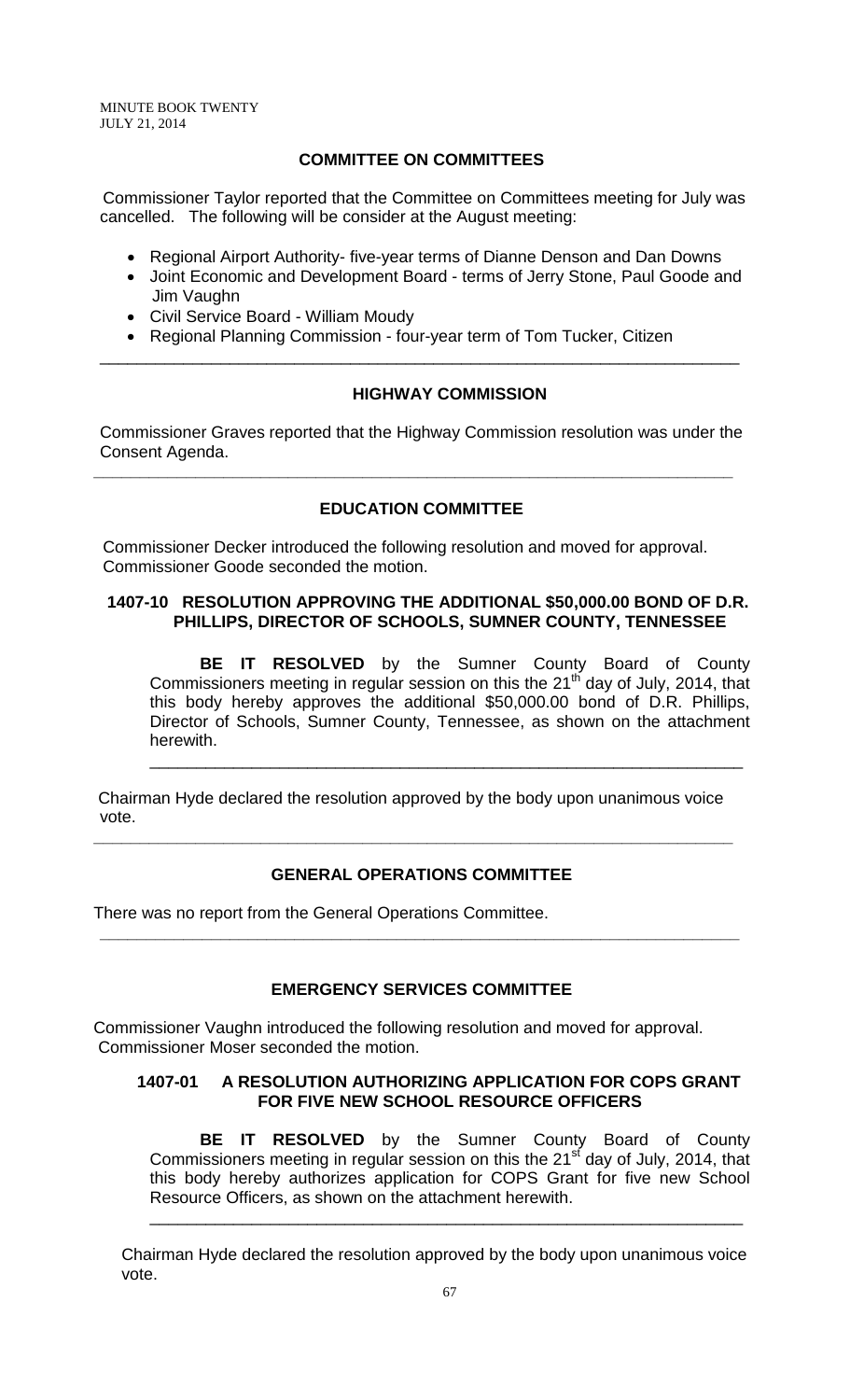MINUTE BOOK TWENTY JULY 21, 2014

# **COMMITTEE ON COMMITTEES**

 Commissioner Taylor reported that the Committee on Committees meeting for July was cancelled. The following will be consider at the August meeting:

- Regional Airport Authority- five-year terms of Dianne Denson and Dan Downs
- Joint Economic and Development Board terms of Jerry Stone, Paul Goode and Jim Vaughn
- Civil Service Board William Moudy
- Regional Planning Commission four-year term of Tom Tucker, Citizen

### **HIGHWAY COMMISSION**

Commissioner Graves reported that the Highway Commission resolution was under the Consent Agenda.

**\_\_\_\_\_\_\_\_\_\_\_\_\_\_\_\_\_\_\_\_\_\_\_\_\_\_\_\_\_\_\_\_\_\_\_\_\_\_\_\_\_\_\_\_\_\_\_\_\_\_\_\_\_\_\_\_\_\_\_\_\_\_\_\_\_\_\_\_\_**

\_\_\_\_\_\_\_\_\_\_\_\_\_\_\_\_\_\_\_\_\_\_\_\_\_\_\_\_\_\_\_\_\_\_\_\_\_\_\_\_\_\_\_\_\_\_\_\_\_\_\_\_\_\_\_\_\_\_\_\_\_\_\_\_\_\_\_\_\_

### **EDUCATION COMMITTEE**

 Commissioner Decker introduced the following resolution and moved for approval. Commissioner Goode seconded the motion.

### **1407-10 RESOLUTION APPROVING THE ADDITIONAL \$50,000.00 BOND OF D.R. PHILLIPS, DIRECTOR OF SCHOOLS, SUMNER COUNTY, TENNESSEE**

**BE IT RESOLVED** by the Sumner County Board of County Commissioners meeting in regular session on this the 21<sup>th</sup> day of July, 2014, that this body hereby approves the additional \$50,000.00 bond of D.R. Phillips, Director of Schools, Sumner County, Tennessee, as shown on the attachment herewith.

\_\_\_\_\_\_\_\_\_\_\_\_\_\_\_\_\_\_\_\_\_\_\_\_\_\_\_\_\_\_\_\_\_\_\_\_\_\_\_\_\_\_\_\_\_\_\_\_\_\_\_\_\_\_\_\_\_\_\_\_\_\_\_\_

Chairman Hyde declared the resolution approved by the body upon unanimous voice vote.

**\_\_\_\_\_\_\_\_\_\_\_\_\_\_\_\_\_\_\_\_\_\_\_\_\_\_\_\_\_\_\_\_\_\_\_\_\_\_\_\_\_\_\_\_\_\_\_\_\_\_\_\_\_\_\_\_\_\_\_\_\_\_\_\_\_\_\_\_\_**

# **GENERAL OPERATIONS COMMITTEE**

There was no report from the General Operations Committee.

# **EMERGENCY SERVICES COMMITTEE**

**\_\_\_\_\_\_\_\_\_\_\_\_\_\_\_\_\_\_\_\_\_\_\_\_\_\_\_\_\_\_\_\_\_\_\_\_\_\_\_\_\_\_\_\_\_\_\_\_\_\_\_\_\_\_\_\_\_\_\_\_\_\_\_\_\_\_\_\_\_**

Commissioner Vaughn introduced the following resolution and moved for approval. Commissioner Moser seconded the motion.

#### **1407-01 A RESOLUTION AUTHORIZING APPLICATION FOR COPS GRANT FOR FIVE NEW SCHOOL RESOURCE OFFICERS**

**BE IT RESOLVED** by the Sumner County Board of County Commissioners meeting in regular session on this the 21<sup>st</sup> day of July, 2014, that this body hereby authorizes application for COPS Grant for five new School Resource Officers, as shown on the attachment herewith.

\_\_\_\_\_\_\_\_\_\_\_\_\_\_\_\_\_\_\_\_\_\_\_\_\_\_\_\_\_\_\_\_\_\_\_\_\_\_\_\_\_\_\_\_\_\_\_\_\_\_\_\_\_\_\_\_\_\_\_\_\_\_\_\_

 Chairman Hyde declared the resolution approved by the body upon unanimous voice vote.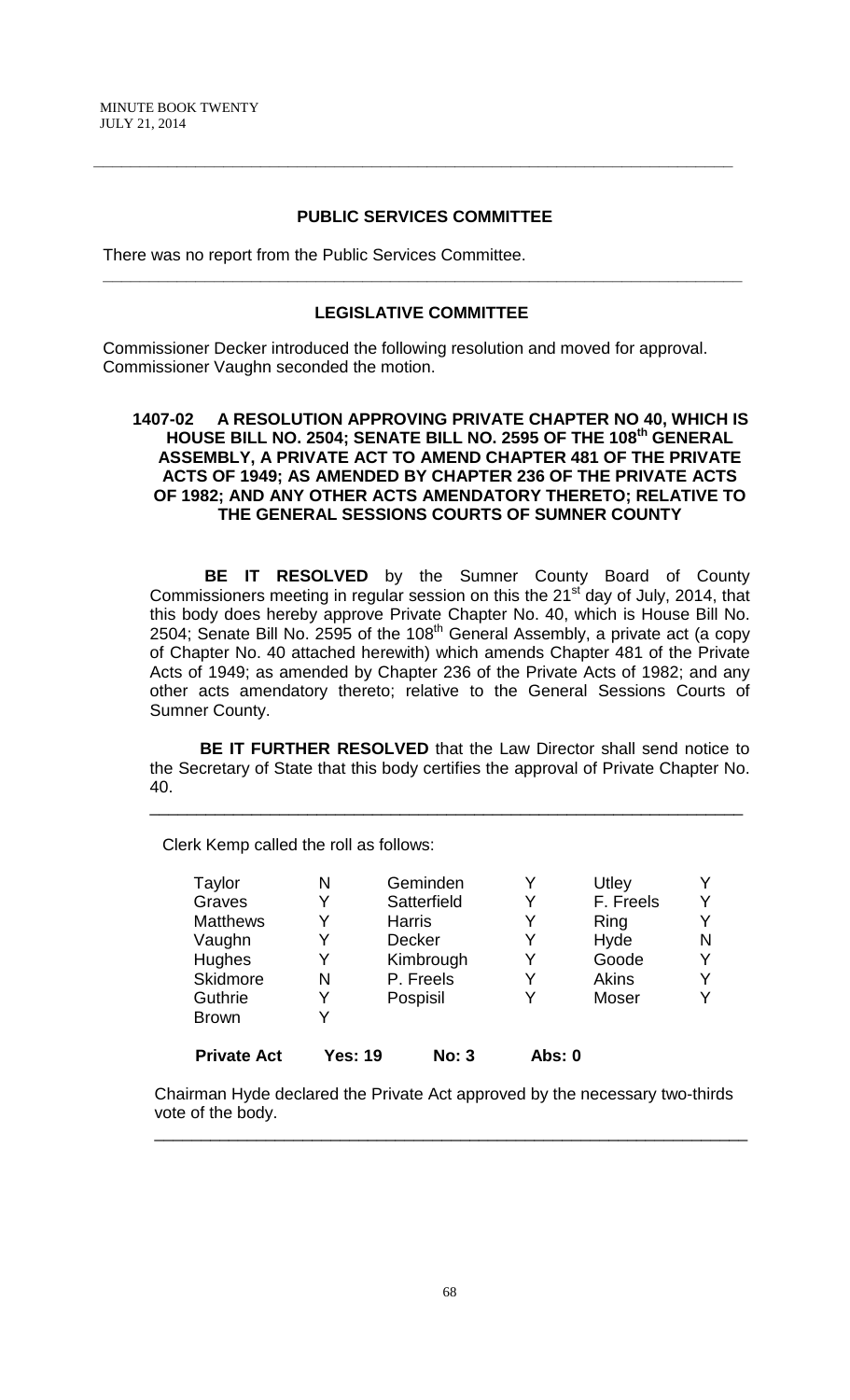### **PUBLIC SERVICES COMMITTEE**

**\_\_\_\_\_\_\_\_\_\_\_\_\_\_\_\_\_\_\_\_\_\_\_\_\_\_\_\_\_\_\_\_\_\_\_\_\_\_\_\_\_\_\_\_\_\_\_\_\_\_\_\_\_\_\_\_\_\_\_\_\_\_\_\_\_\_\_\_\_**

There was no report from the Public Services Committee.

#### **LEGISLATIVE COMMITTEE**

 **\_\_\_\_\_\_\_\_\_\_\_\_\_\_\_\_\_\_\_\_\_\_\_\_\_\_\_\_\_\_\_\_\_\_\_\_\_\_\_\_\_\_\_\_\_\_\_\_\_\_\_\_\_\_\_\_\_\_\_\_\_\_\_\_\_\_\_\_\_**

 Commissioner Decker introduced the following resolution and moved for approval. Commissioner Vaughn seconded the motion.

### **1407-02 A RESOLUTION APPROVING PRIVATE CHAPTER NO 40, WHICH IS HOUSE BILL NO. 2504; SENATE BILL NO. 2595 OF THE 108th GENERAL ASSEMBLY, A PRIVATE ACT TO AMEND CHAPTER 481 OF THE PRIVATE ACTS OF 1949; AS AMENDED BY CHAPTER 236 OF THE PRIVATE ACTS OF 1982; AND ANY OTHER ACTS AMENDATORY THERETO; RELATIVE TO THE GENERAL SESSIONS COURTS OF SUMNER COUNTY**

**BE IT RESOLVED** by the Sumner County Board of County Commissioners meeting in regular session on this the 21<sup>st</sup> day of July, 2014, that this body does hereby approve Private Chapter No. 40, which is House Bill No. 2504; Senate Bill No. 2595 of the  $108<sup>th</sup>$  General Assembly, a private act (a copy of Chapter No. 40 attached herewith) which amends Chapter 481 of the Private Acts of 1949; as amended by Chapter 236 of the Private Acts of 1982; and any other acts amendatory thereto; relative to the General Sessions Courts of Sumner County.

**BE IT FURTHER RESOLVED** that the Law Director shall send notice to the Secretary of State that this body certifies the approval of Private Chapter No. 40.

\_\_\_\_\_\_\_\_\_\_\_\_\_\_\_\_\_\_\_\_\_\_\_\_\_\_\_\_\_\_\_\_\_\_\_\_\_\_\_\_\_\_\_\_\_\_\_\_\_\_\_\_\_\_\_\_\_\_\_\_\_\_\_\_

Clerk Kemp called the roll as follows:

| Taylor             | N              | Geminden      | Y      | Utley        |   |
|--------------------|----------------|---------------|--------|--------------|---|
| Graves             | Y              | Satterfield   | Y      | F. Freels    |   |
| <b>Matthews</b>    | Y              | <b>Harris</b> | Y      | Ring         |   |
| Vaughn             | Y              | Decker        | Y      | Hyde         | N |
| Hughes             | Y              | Kimbrough     | Y      | Goode        |   |
| Skidmore           | N              | P. Freels     | Y      | <b>Akins</b> |   |
| Guthrie            |                | Pospisil      | Y      | Moser        |   |
| <b>Brown</b>       |                |               |        |              |   |
| <b>Private Act</b> | <b>Yes: 19</b> | <b>No: 3</b>  | Abs: 0 |              |   |

Chairman Hyde declared the Private Act approved by the necessary two-thirds vote of the body.

\_\_\_\_\_\_\_\_\_\_\_\_\_\_\_\_\_\_\_\_\_\_\_\_\_\_\_\_\_\_\_\_\_\_\_\_\_\_\_\_\_\_\_\_\_\_\_\_\_\_\_\_\_\_\_\_\_\_\_\_\_\_\_\_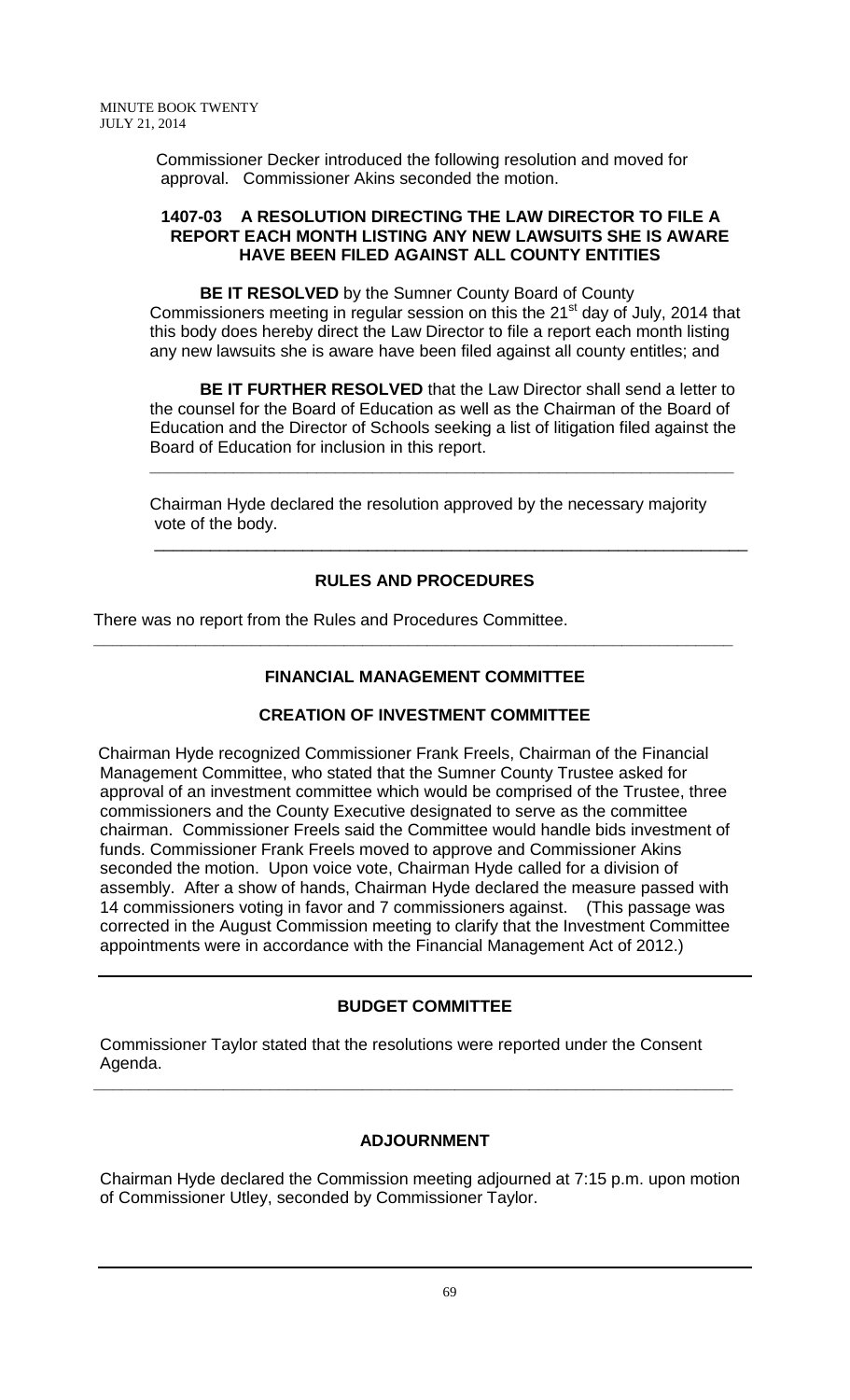Commissioner Decker introduced the following resolution and moved for approval. Commissioner Akins seconded the motion.

### **1407-03 A RESOLUTION DIRECTING THE LAW DIRECTOR TO FILE A REPORT EACH MONTH LISTING ANY NEW LAWSUITS SHE IS AWARE HAVE BEEN FILED AGAINST ALL COUNTY ENTITIES**

**BE IT RESOLVED** by the Sumner County Board of County Commissioners meeting in regular session on this the  $21<sup>st</sup>$  day of July, 2014 that this body does hereby direct the Law Director to file a report each month listing any new lawsuits she is aware have been filed against all county entitles; and

**BE IT FURTHER RESOLVED** that the Law Director shall send a letter to the counsel for the Board of Education as well as the Chairman of the Board of Education and the Director of Schools seeking a list of litigation filed against the Board of Education for inclusion in this report.

**\_\_\_\_\_\_\_\_\_\_\_\_\_\_\_\_\_\_\_\_\_\_\_\_\_\_\_\_\_\_\_\_\_\_\_\_\_\_\_\_\_\_\_\_\_\_\_\_\_\_\_\_\_\_\_\_\_\_\_\_\_\_\_**

\_\_\_\_\_\_\_\_\_\_\_\_\_\_\_\_\_\_\_\_\_\_\_\_\_\_\_\_\_\_\_\_\_\_\_\_\_\_\_\_\_\_\_\_\_\_\_\_\_\_\_\_\_\_\_\_\_\_\_\_\_\_\_\_

Chairman Hyde declared the resolution approved by the necessary majority vote of the body.

# **RULES AND PROCEDURES**

There was no report from the Rules and Procedures Committee.

# **FINANCIAL MANAGEMENT COMMITTEE**

**\_\_\_\_\_\_\_\_\_\_\_\_\_\_\_\_\_\_\_\_\_\_\_\_\_\_\_\_\_\_\_\_\_\_\_\_\_\_\_\_\_\_\_\_\_\_\_\_\_\_\_\_\_\_\_\_\_\_\_\_\_\_\_\_\_\_\_\_\_**

# **CREATION OF INVESTMENT COMMITTEE**

Chairman Hyde recognized Commissioner Frank Freels, Chairman of the Financial Management Committee, who stated that the Sumner County Trustee asked for approval of an investment committee which would be comprised of the Trustee, three commissioners and the County Executive designated to serve as the committee chairman. Commissioner Freels said the Committee would handle bids investment of funds. Commissioner Frank Freels moved to approve and Commissioner Akins seconded the motion. Upon voice vote, Chairman Hyde called for a division of assembly. After a show of hands, Chairman Hyde declared the measure passed with 14 commissioners voting in favor and 7 commissioners against. (This passage was corrected in the August Commission meeting to clarify that the Investment Committee appointments were in accordance with the Financial Management Act of 2012.)

# **BUDGET COMMITTEE**

Commissioner Taylor stated that the resolutions were reported under the Consent Agenda.

**\_\_\_\_\_\_\_\_\_\_\_\_\_\_\_\_\_\_\_\_\_\_\_\_\_\_\_\_\_\_\_\_\_\_\_\_\_\_\_\_\_\_\_\_\_\_\_\_\_\_\_\_\_\_\_\_\_\_\_\_\_\_\_\_\_\_\_\_\_**

# **ADJOURNMENT**

Chairman Hyde declared the Commission meeting adjourned at 7:15 p.m. upon motion of Commissioner Utley, seconded by Commissioner Taylor.